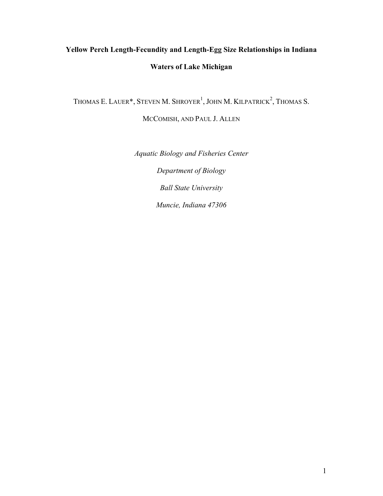# **Yellow Perch Length-Fecundity and Length-Egg Size Relationships in Indiana Waters of Lake Michigan**

THOMAS E. LAUER\*, STEVEN M. SHROYER<sup>1</sup>, JOHN M. KILPATRICK<sup>2</sup>, THOMAS S.

MCCOMISH, AND PAUL J. ALLEN

*Aquatic Biology and Fisheries Center Department of Biology Ball State University Muncie, Indiana 47306*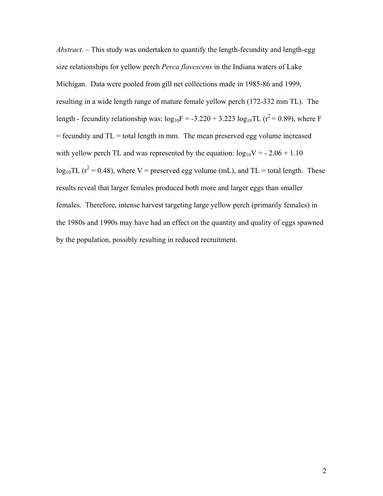*Abstract.* – This study was undertaken to quantify the length-fecundity and length-egg size relationships for yellow perch *Perca flavescens* in the Indiana waters of Lake Michigan. Data were pooled from gill net collections made in 1985-86 and 1999, resulting in a wide length range of mature female yellow perch (172-332 mm TL). The length - fecundity relationship was:  $log_{10}F = -3.220 + 3.223 log_{10}TL (r^2 = 0.89)$ , where F  $=$  fecundity and  $TL =$  total length in mm. The mean preserved egg volume increased with yellow perch TL and was represented by the equation:  $log_{10}V = -2.06 + 1.10$  $log_{10}TL$  ( $r^2 = 0.48$ ), where V = preserved egg volume (mL), and TL = total length. These results reveal that larger females produced both more and larger eggs than smaller females. Therefore, intense harvest targeting large yellow perch (primarily females) in the 1980s and 1990s may have had an effect on the quantity and quality of eggs spawned by the population, possibly resulting in reduced recruitment.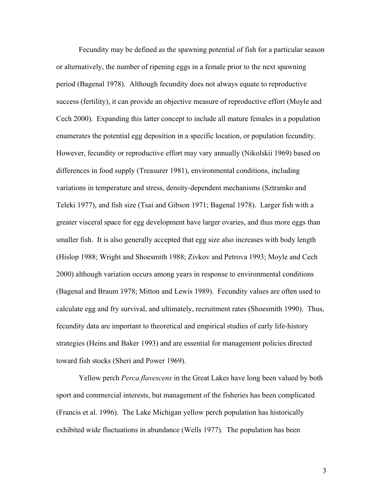Fecundity may be defined as the spawning potential of fish for a particular season or alternatively, the number of ripening eggs in a female prior to the next spawning period (Bagenal 1978). Although fecundity does not always equate to reproductive success (fertility), it can provide an objective measure of reproductive effort (Moyle and Cech 2000). Expanding this latter concept to include all mature females in a population enumerates the potential egg deposition in a specific location, or population fecundity. However, fecundity or reproductive effort may vary annually (Nikolskii 1969) based on differences in food supply (Treasurer 1981), environmental conditions, including variations in temperature and stress, density-dependent mechanisms (Sztramko and Teleki 1977), and fish size (Tsai and Gibson 1971; Bagenal 1978). Larger fish with a greater visceral space for egg development have larger ovaries, and thus more eggs than smaller fish. It is also generally accepted that egg size also increases with body length (Hislop 1988; Wright and Shoesmith 1988; Zivkov and Petrova 1993; Moyle and Cech 2000) although variation occurs among years in response to environmental conditions (Bagenal and Braum 1978; Mitton and Lewis 1989). Fecundity values are often used to calculate egg and fry survival, and ultimately, recruitment rates (Shoesmith 1990). Thus, fecundity data are important to theoretical and empirical studies of early life-history strategies (Heins and Baker 1993) and are essential for management policies directed toward fish stocks (Sheri and Power 1969).

Yellow perch *Perca flavescens* in the Great Lakes have long been valued by both sport and commercial interests, but management of the fisheries has been complicated (Francis et al. 1996). The Lake Michigan yellow perch population has historically exhibited wide fluctuations in abundance (Wells 1977). The population has been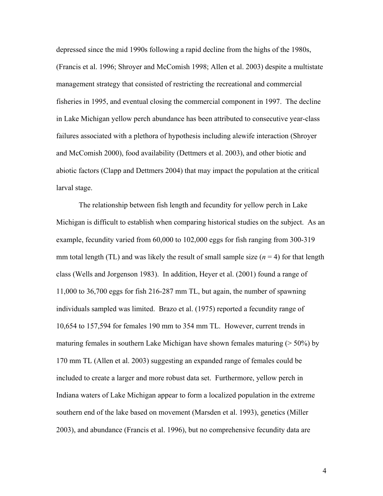depressed since the mid 1990s following a rapid decline from the highs of the 1980s, (Francis et al. 1996; Shroyer and McComish 1998; Allen et al. 2003) despite a multistate management strategy that consisted of restricting the recreational and commercial fisheries in 1995, and eventual closing the commercial component in 1997. The decline in Lake Michigan yellow perch abundance has been attributed to consecutive year-class failures associated with a plethora of hypothesis including alewife interaction (Shroyer and McComish 2000), food availability (Dettmers et al. 2003), and other biotic and abiotic factors (Clapp and Dettmers 2004) that may impact the population at the critical larval stage.

The relationship between fish length and fecundity for yellow perch in Lake Michigan is difficult to establish when comparing historical studies on the subject. As an example, fecundity varied from 60,000 to 102,000 eggs for fish ranging from 300-319 mm total length (TL) and was likely the result of small sample size  $(n = 4)$  for that length class (Wells and Jorgenson 1983). In addition, Heyer et al. (2001) found a range of 11,000 to 36,700 eggs for fish 216-287 mm TL, but again, the number of spawning individuals sampled was limited. Brazo et al. (1975) reported a fecundity range of 10,654 to 157,594 for females 190 mm to 354 mm TL. However, current trends in maturing females in southern Lake Michigan have shown females maturing  $($  > 50%) by 170 mm TL (Allen et al. 2003) suggesting an expanded range of females could be included to create a larger and more robust data set. Furthermore, yellow perch in Indiana waters of Lake Michigan appear to form a localized population in the extreme southern end of the lake based on movement (Marsden et al. 1993), genetics (Miller 2003), and abundance (Francis et al. 1996), but no comprehensive fecundity data are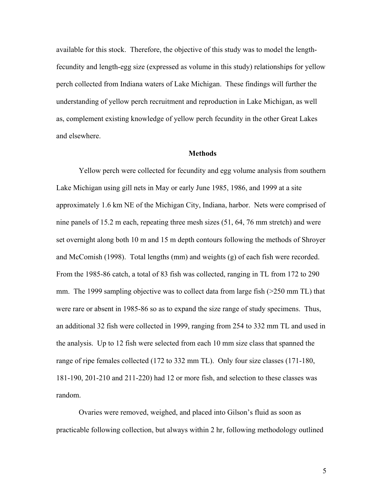available for this stock. Therefore, the objective of this study was to model the lengthfecundity and length-egg size (expressed as volume in this study) relationships for yellow perch collected from Indiana waters of Lake Michigan. These findings will further the understanding of yellow perch recruitment and reproduction in Lake Michigan, as well as, complement existing knowledge of yellow perch fecundity in the other Great Lakes and elsewhere.

#### **Methods**

Yellow perch were collected for fecundity and egg volume analysis from southern Lake Michigan using gill nets in May or early June 1985, 1986, and 1999 at a site approximately 1.6 km NE of the Michigan City, Indiana, harbor. Nets were comprised of nine panels of 15.2 m each, repeating three mesh sizes (51, 64, 76 mm stretch) and were set overnight along both 10 m and 15 m depth contours following the methods of Shroyer and McComish (1998). Total lengths (mm) and weights (g) of each fish were recorded. From the 1985-86 catch, a total of 83 fish was collected, ranging in TL from 172 to 290 mm. The 1999 sampling objective was to collect data from large fish (>250 mm TL) that were rare or absent in 1985-86 so as to expand the size range of study specimens. Thus, an additional 32 fish were collected in 1999, ranging from 254 to 332 mm TL and used in the analysis. Up to 12 fish were selected from each 10 mm size class that spanned the range of ripe females collected (172 to 332 mm TL). Only four size classes (171-180, 181-190, 201-210 and 211-220) had 12 or more fish, and selection to these classes was random.

Ovaries were removed, weighed, and placed into Gilson's fluid as soon as practicable following collection, but always within 2 hr, following methodology outlined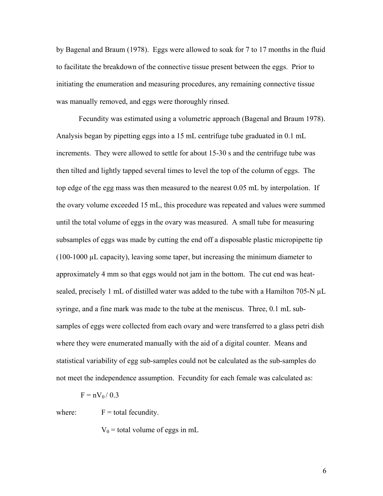by Bagenal and Braum (1978). Eggs were allowed to soak for 7 to 17 months in the fluid to facilitate the breakdown of the connective tissue present between the eggs. Prior to initiating the enumeration and measuring procedures, any remaining connective tissue was manually removed, and eggs were thoroughly rinsed.

Fecundity was estimated using a volumetric approach (Bagenal and Braum 1978). Analysis began by pipetting eggs into a 15 mL centrifuge tube graduated in 0.1 mL increments. They were allowed to settle for about 15-30 s and the centrifuge tube was then tilted and lightly tapped several times to level the top of the column of eggs. The top edge of the egg mass was then measured to the nearest 0.05 mL by interpolation. If the ovary volume exceeded 15 mL, this procedure was repeated and values were summed until the total volume of eggs in the ovary was measured. A small tube for measuring subsamples of eggs was made by cutting the end off a disposable plastic micropipette tip (100-1000 µL capacity), leaving some taper, but increasing the minimum diameter to approximately 4 mm so that eggs would not jam in the bottom. The cut end was heatsealed, precisely 1 mL of distilled water was added to the tube with a Hamilton 705-N µL syringe, and a fine mark was made to the tube at the meniscus. Three, 0.1 mL subsamples of eggs were collected from each ovary and were transferred to a glass petri dish where they were enumerated manually with the aid of a digital counter. Means and statistical variability of egg sub-samples could not be calculated as the sub-samples do not meet the independence assumption. Fecundity for each female was calculated as:

$$
F = nV_0 / 0.3
$$

where:  $F =$  total fecundity.

 $V_0$  = total volume of eggs in mL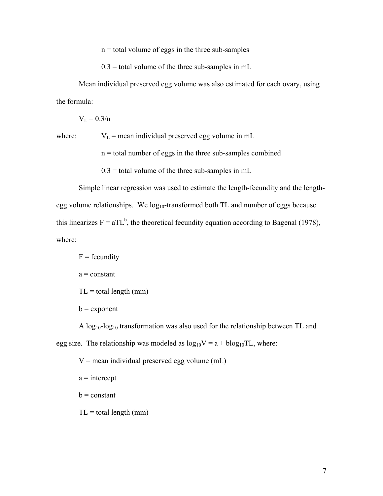$n =$  total volume of eggs in the three sub-samples

 $0.3$  = total volume of the three sub-samples in mL

Mean individual preserved egg volume was also estimated for each ovary, using the formula:

 $V_{L} = 0.3/n$ 

where:  $V_L$  = mean individual preserved egg volume in mL

 $n =$  total number of eggs in the three sub-samples combined

 $0.3$  = total volume of the three sub-samples in mL

Simple linear regression was used to estimate the length-fecundity and the lengthegg volume relationships. We  $log_{10}$ -transformed both TL and number of eggs because this linearizes  $F = aTL^b$ , the theoretical fecundity equation according to Bagenal (1978), where:

 $F =$  fecundity  $a = constant$  $TL = total length (mm)$  $b =$  exponent

A log10-log10 transformation was also used for the relationship between TL and egg size. The relationship was modeled as  $log_{10}V = a + blog_{10}TL$ , where:

 $V =$  mean individual preserved egg volume (mL)

 $a =$ intercept

 $b = constant$ 

 $TL = total length (mm)$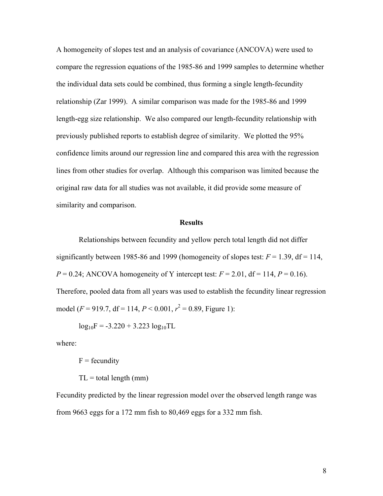A homogeneity of slopes test and an analysis of covariance (ANCOVA) were used to compare the regression equations of the 1985-86 and 1999 samples to determine whether the individual data sets could be combined, thus forming a single length-fecundity relationship (Zar 1999). A similar comparison was made for the 1985-86 and 1999 length-egg size relationship. We also compared our length-fecundity relationship with previously published reports to establish degree of similarity. We plotted the 95% confidence limits around our regression line and compared this area with the regression lines from other studies for overlap. Although this comparison was limited because the original raw data for all studies was not available, it did provide some measure of similarity and comparison.

### **Results**

 Relationships between fecundity and yellow perch total length did not differ significantly between 1985-86 and 1999 (homogeneity of slopes test:  $F = 1.39$ ,  $df = 114$ ,  $P = 0.24$ ; ANCOVA homogeneity of Y intercept test:  $F = 2.01$ , df = 114,  $P = 0.16$ ). Therefore, pooled data from all years was used to establish the fecundity linear regression model ( $F = 919.7$ , df = 114,  $P < 0.001$ ,  $r^2 = 0.89$ , Figure 1):

 $log_{10}F = -3.220 + 3.223 log_{10}TL$ 

where:

 $F =$  fecundity

 $TL = total length (mm)$ 

Fecundity predicted by the linear regression model over the observed length range was from 9663 eggs for a 172 mm fish to 80,469 eggs for a 332 mm fish.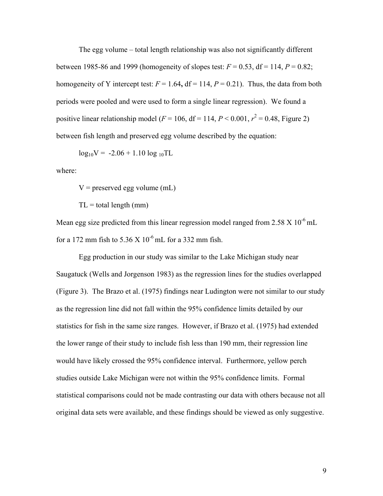The egg volume – total length relationship was also not significantly different between 1985-86 and 1999 (homogeneity of slopes test:  $F = 0.53$ ,  $df = 114$ ,  $P = 0.82$ ; homogeneity of Y intercept test:  $F = 1.64$ ,  $df = 114$ ,  $P = 0.21$ ). Thus, the data from both periods were pooled and were used to form a single linear regression). We found a positive linear relationship model ( $F = 106$ , df = 114,  $P < 0.001$ ,  $r^2 = 0.48$ , Figure 2) between fish length and preserved egg volume described by the equation:

 $log_{10}V = -2.06 + 1.10 log_{10}TL$ 

where:

 $V =$  preserved egg volume (mL)

 $TL = total length (mm)$ 

Mean egg size predicted from this linear regression model ranged from  $2.58 \times 10^{-6}$  mL for a 172 mm fish to 5.36 X  $10^{-6}$  mL for a 332 mm fish.

 Egg production in our study was similar to the Lake Michigan study near Saugatuck (Wells and Jorgenson 1983) as the regression lines for the studies overlapped (Figure 3). The Brazo et al. (1975) findings near Ludington were not similar to our study as the regression line did not fall within the 95% confidence limits detailed by our statistics for fish in the same size ranges. However, if Brazo et al. (1975) had extended the lower range of their study to include fish less than 190 mm, their regression line would have likely crossed the 95% confidence interval. Furthermore, yellow perch studies outside Lake Michigan were not within the 95% confidence limits. Formal statistical comparisons could not be made contrasting our data with others because not all original data sets were available, and these findings should be viewed as only suggestive.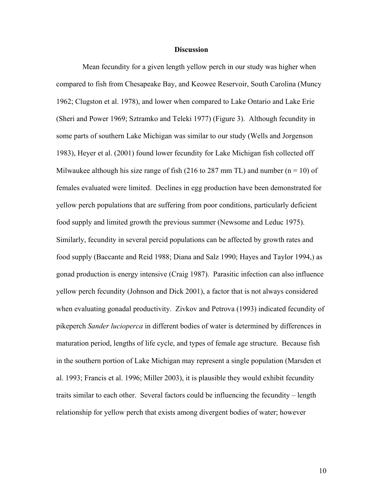### **Discussion**

 Mean fecundity for a given length yellow perch in our study was higher when compared to fish from Chesapeake Bay, and Keowee Reservoir, South Carolina (Muncy 1962; Clugston et al. 1978), and lower when compared to Lake Ontario and Lake Erie (Sheri and Power 1969; Sztramko and Teleki 1977) (Figure 3). Although fecundity in some parts of southern Lake Michigan was similar to our study (Wells and Jorgenson 1983), Heyer et al. (2001) found lower fecundity for Lake Michigan fish collected off Milwaukee although his size range of fish (216 to 287 mm TL) and number ( $n = 10$ ) of females evaluated were limited. Declines in egg production have been demonstrated for yellow perch populations that are suffering from poor conditions, particularly deficient food supply and limited growth the previous summer (Newsome and Leduc 1975). Similarly, fecundity in several percid populations can be affected by growth rates and food supply (Baccante and Reid 1988; Diana and Salz 1990; Hayes and Taylor 1994,) as gonad production is energy intensive (Craig 1987). Parasitic infection can also influence yellow perch fecundity (Johnson and Dick 2001), a factor that is not always considered when evaluating gonadal productivity. Zivkov and Petrova (1993) indicated fecundity of pikeperch *Sander lucioperca* in different bodies of water is determined by differences in maturation period, lengths of life cycle, and types of female age structure. Because fish in the southern portion of Lake Michigan may represent a single population (Marsden et al. 1993; Francis et al. 1996; Miller 2003), it is plausible they would exhibit fecundity traits similar to each other. Several factors could be influencing the fecundity – length relationship for yellow perch that exists among divergent bodies of water; however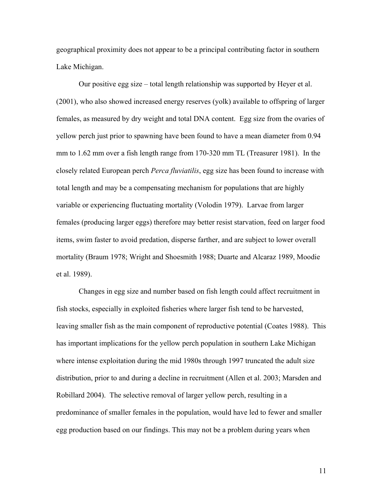geographical proximity does not appear to be a principal contributing factor in southern Lake Michigan.

Our positive egg size – total length relationship was supported by Heyer et al. (2001), who also showed increased energy reserves (yolk) available to offspring of larger females, as measured by dry weight and total DNA content. Egg size from the ovaries of yellow perch just prior to spawning have been found to have a mean diameter from 0.94 mm to 1.62 mm over a fish length range from 170-320 mm TL (Treasurer 1981). In the closely related European perch *Perca fluviatilis*, egg size has been found to increase with total length and may be a compensating mechanism for populations that are highly variable or experiencing fluctuating mortality (Volodin 1979). Larvae from larger females (producing larger eggs) therefore may better resist starvation, feed on larger food items, swim faster to avoid predation, disperse farther, and are subject to lower overall mortality (Braum 1978; Wright and Shoesmith 1988; Duarte and Alcaraz 1989, Moodie et al. 1989).

Changes in egg size and number based on fish length could affect recruitment in fish stocks, especially in exploited fisheries where larger fish tend to be harvested, leaving smaller fish as the main component of reproductive potential (Coates 1988). This has important implications for the yellow perch population in southern Lake Michigan where intense exploitation during the mid 1980s through 1997 truncated the adult size distribution, prior to and during a decline in recruitment (Allen et al. 2003; Marsden and Robillard 2004). The selective removal of larger yellow perch, resulting in a predominance of smaller females in the population, would have led to fewer and smaller egg production based on our findings. This may not be a problem during years when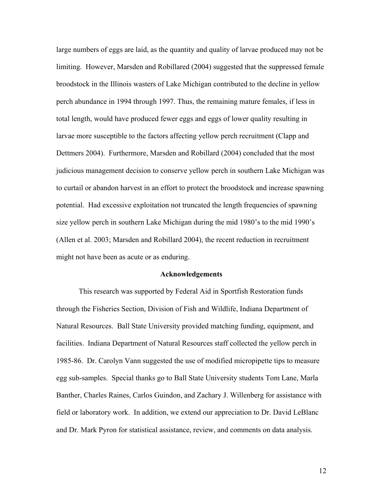large numbers of eggs are laid, as the quantity and quality of larvae produced may not be limiting. However, Marsden and Robillared (2004) suggested that the suppressed female broodstock in the Illinois wasters of Lake Michigan contributed to the decline in yellow perch abundance in 1994 through 1997. Thus, the remaining mature females, if less in total length, would have produced fewer eggs and eggs of lower quality resulting in larvae more susceptible to the factors affecting yellow perch recruitment (Clapp and Dettmers 2004). Furthermore, Marsden and Robillard (2004) concluded that the most judicious management decision to conserve yellow perch in southern Lake Michigan was to curtail or abandon harvest in an effort to protect the broodstock and increase spawning potential. Had excessive exploitation not truncated the length frequencies of spawning size yellow perch in southern Lake Michigan during the mid 1980's to the mid 1990's (Allen et al. 2003; Marsden and Robillard 2004), the recent reduction in recruitment might not have been as acute or as enduring.

#### **Acknowledgements**

This research was supported by Federal Aid in Sportfish Restoration funds through the Fisheries Section, Division of Fish and Wildlife, Indiana Department of Natural Resources. Ball State University provided matching funding, equipment, and facilities. Indiana Department of Natural Resources staff collected the yellow perch in 1985-86. Dr. Carolyn Vann suggested the use of modified micropipette tips to measure egg sub-samples. Special thanks go to Ball State University students Tom Lane, Marla Banther, Charles Raines, Carlos Guindon, and Zachary J. Willenberg for assistance with field or laboratory work. In addition, we extend our appreciation to Dr. David LeBlanc and Dr. Mark Pyron for statistical assistance, review, and comments on data analysis.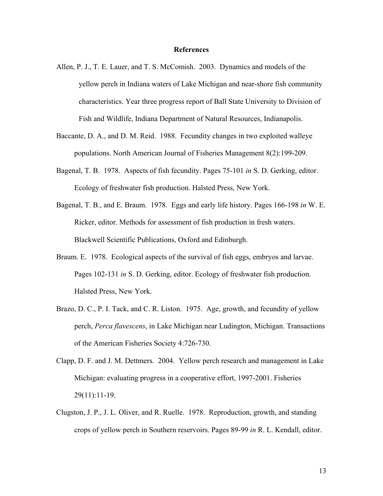#### **References**

- Allen, P. J., T. E. Lauer, and T. S. McComish. 2003. Dynamics and models of the yellow perch in Indiana waters of Lake Michigan and near-shore fish community characteristics. Year three progress report of Ball State University to Division of Fish and Wildlife, Indiana Department of Natural Resources, Indianapolis.
- Baccante, D. A., and D. M. Reid. 1988. Fecundity changes in two exploited walleye populations. North American Journal of Fisheries Management 8(2):199-209.
- Bagenal, T. B. 1978. Aspects of fish fecundity. Pages 75-101 *in* S. D. Gerking, editor. Ecology of freshwater fish production. Halsted Press, New York.
- Bagenal, T. B., and E. Braum. 1978. Eggs and early life history. Pages 166-198 *in* W. E. Ricker, editor. Methods for assessment of fish production in fresh waters. Blackwell Scientific Publications, Oxford and Edinburgh.
- Braum. E. 1978. Ecological aspects of the survival of fish eggs, embryos and larvae. Pages 102-131 *in* S. D. Gerking, editor. Ecology of freshwater fish production. Halsted Press, New York.
- Brazo, D. C., P. I. Tack, and C. R. Liston. 1975. Age, growth, and fecundity of yellow perch, *Perca flavescens*, in Lake Michigan near Ludington, Michigan. Transactions of the American Fisheries Society 4:726-730.
- Clapp, D. F. and J. M. Dettmers. 2004. Yellow perch research and management in Lake Michigan: evaluating progress in a cooperative effort, 1997-2001. Fisheries 29(11):11-19.
- Clugston, J. P., J. L. Oliver, and R. Ruelle. 1978. Reproduction, growth, and standing crops of yellow perch in Southern reservoirs. Pages 89-99 *in* R. L. Kendall, editor.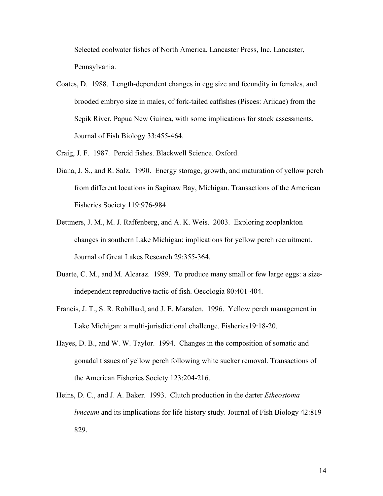Selected coolwater fishes of North America. Lancaster Press, Inc. Lancaster, Pennsylvania.

- Coates, D. 1988. Length-dependent changes in egg size and fecundity in females, and brooded embryo size in males, of fork-tailed catfishes (Pisces: Ariidae) from the Sepik River, Papua New Guinea, with some implications for stock assessments. Journal of Fish Biology 33:455-464.
- Craig, J. F. 1987. Percid fishes. Blackwell Science. Oxford.
- Diana, J. S., and R. Salz. 1990. Energy storage, growth, and maturation of yellow perch from different locations in Saginaw Bay, Michigan. Transactions of the American Fisheries Society 119:976-984.
- Dettmers, J. M., M. J. Raffenberg, and A. K. Weis. 2003. Exploring zooplankton changes in southern Lake Michigan: implications for yellow perch recruitment. Journal of Great Lakes Research 29:355-364.
- Duarte, C. M., and M. Alcaraz. 1989. To produce many small or few large eggs: a sizeindependent reproductive tactic of fish. Oecologia 80:401-404.
- Francis, J. T., S. R. Robillard, and J. E. Marsden. 1996. Yellow perch management in Lake Michigan: a multi-jurisdictional challenge. Fisheries19:18-20.
- Hayes, D. B., and W. W. Taylor. 1994. Changes in the composition of somatic and gonadal tissues of yellow perch following white sucker removal. Transactions of the American Fisheries Society 123:204-216.
- Heins, D. C., and J. A. Baker. 1993. Clutch production in the darter *Etheostoma lynceum* and its implications for life-history study. Journal of Fish Biology 42:819- 829.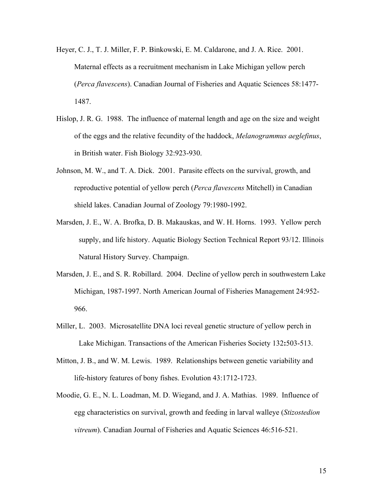- Heyer, C. J., T. J. Miller, F. P. Binkowski, E. M. Caldarone, and J. A. Rice. 2001. Maternal effects as a recruitment mechanism in Lake Michigan yellow perch (*Perca flavescens*). Canadian Journal of Fisheries and Aquatic Sciences 58:1477- 1487.
- Hislop, J. R. G. 1988. The influence of maternal length and age on the size and weight of the eggs and the relative fecundity of the haddock, *Melanogrammus aeglefinus*, in British water. Fish Biology 32:923-930.
- Johnson, M. W., and T. A. Dick. 2001. Parasite effects on the survival, growth, and reproductive potential of yellow perch (*Perca flavescens* Mitchell) in Canadian shield lakes. Canadian Journal of Zoology 79:1980-1992.
- Marsden, J. E., W. A. Brofka, D. B. Makauskas, and W. H. Horns. 1993. Yellow perch supply, and life history. Aquatic Biology Section Technical Report 93/12. Illinois Natural History Survey. Champaign.
- Marsden, J. E., and S. R. Robillard. 2004. Decline of yellow perch in southwestern Lake Michigan, 1987-1997. North American Journal of Fisheries Management 24:952- 966.
- Miller, L. 2003. Microsatellite DNA loci reveal genetic structure of yellow perch in Lake Michigan. Transactions of the American Fisheries Society 132**:**503-513.
- Mitton, J. B., and W. M. Lewis. 1989. Relationships between genetic variability and life-history features of bony fishes. Evolution 43:1712-1723.
- Moodie, G. E., N. L. Loadman, M. D. Wiegand, and J. A. Mathias. 1989. Influence of egg characteristics on survival, growth and feeding in larval walleye (*Stizostedion vitreum*). Canadian Journal of Fisheries and Aquatic Sciences 46:516-521.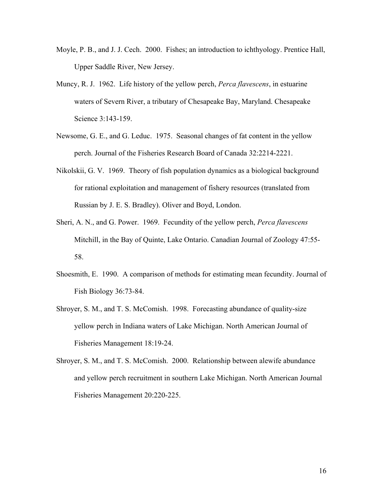- Moyle, P. B., and J. J. Cech. 2000. Fishes; an introduction to ichthyology. Prentice Hall, Upper Saddle River, New Jersey.
- Muncy, R. J. 1962. Life history of the yellow perch, *Perca flavescens*, in estuarine waters of Severn River, a tributary of Chesapeake Bay, Maryland. Chesapeake Science 3:143-159.
- Newsome, G. E., and G. Leduc. 1975. Seasonal changes of fat content in the yellow perch. Journal of the Fisheries Research Board of Canada 32:2214-2221.
- Nikolskii, G. V. 1969. Theory of fish population dynamics as a biological background for rational exploitation and management of fishery resources (translated from Russian by J. E. S. Bradley). Oliver and Boyd, London.
- Sheri, A. N., and G. Power. 1969. Fecundity of the yellow perch, *Perca flavescens* Mitchill, in the Bay of Quinte, Lake Ontario. Canadian Journal of Zoology 47:55- 58.
- Shoesmith, E. 1990. A comparison of methods for estimating mean fecundity. Journal of Fish Biology 36:73-84.
- Shroyer, S. M., and T. S. McComish. 1998. Forecasting abundance of quality-size yellow perch in Indiana waters of Lake Michigan. North American Journal of Fisheries Management 18:19-24.
- Shroyer, S. M., and T. S. McComish. 2000. Relationship between alewife abundance and yellow perch recruitment in southern Lake Michigan. North American Journal Fisheries Management 20:220-225.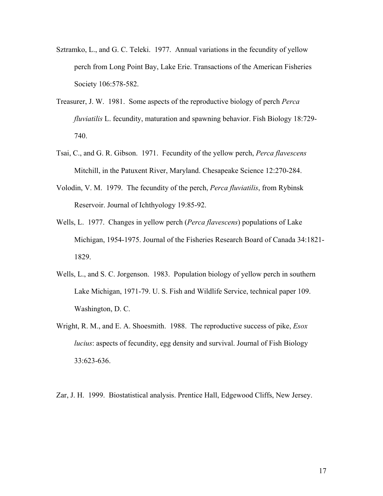- Sztramko, L., and G. C. Teleki. 1977. Annual variations in the fecundity of yellow perch from Long Point Bay, Lake Erie. Transactions of the American Fisheries Society 106:578-582.
- Treasurer, J. W. 1981. Some aspects of the reproductive biology of perch *Perca fluviatilis* L. fecundity, maturation and spawning behavior. Fish Biology 18:729- 740.
- Tsai, C., and G. R. Gibson. 1971. Fecundity of the yellow perch, *Perca flavescens* Mitchill, in the Patuxent River, Maryland. Chesapeake Science 12:270-284.
- Volodin, V. M. 1979. The fecundity of the perch, *Perca fluviatilis*, from Rybinsk Reservoir. Journal of Ichthyology 19:85-92.
- Wells, L. 1977. Changes in yellow perch (*Perca flavescens*) populations of Lake Michigan, 1954-1975. Journal of the Fisheries Research Board of Canada 34:1821- 1829.
- Wells, L., and S. C. Jorgenson. 1983. Population biology of yellow perch in southern Lake Michigan, 1971-79. U. S. Fish and Wildlife Service, technical paper 109. Washington, D. C.
- Wright, R. M., and E. A. Shoesmith. 1988. The reproductive success of pike, *Esox lucius*: aspects of fecundity, egg density and survival. Journal of Fish Biology 33:623-636.

Zar, J. H. 1999. Biostatistical analysis. Prentice Hall, Edgewood Cliffs, New Jersey.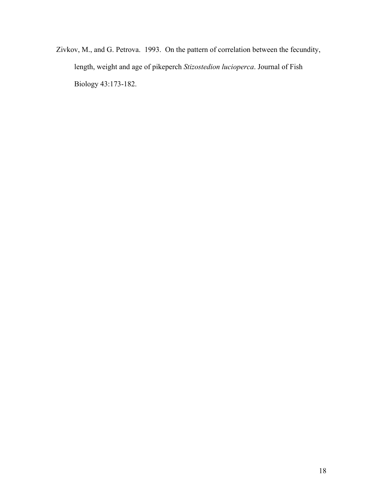Zivkov, M., and G. Petrova. 1993. On the pattern of correlation between the fecundity, length, weight and age of pikeperch *Stizostedion lucioperca*. Journal of Fish Biology 43:173-182.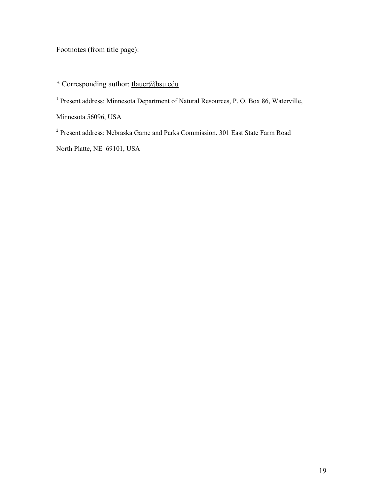Footnotes (from title page):

## \* Corresponding author: tlauer@bsu.edu

<sup>1</sup> Present address: Minnesota Department of Natural Resources, P. O. Box 86, Waterville,

Minnesota 56096, USA

<sup>2</sup> Present address: Nebraska Game and Parks Commission. 301 East State Farm Road

North Platte, NE 69101, USA